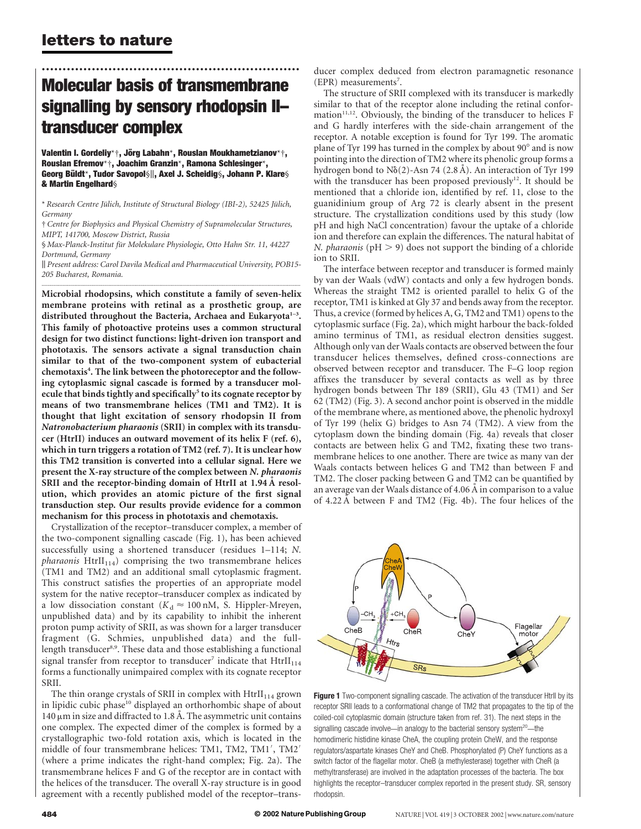# .............................................................. Molecular basis of transmembrane signalling by sensory rhodopsin II– transducer complex

Valentin I. Gordeliy\*†, Jörg Labahn\*, Rouslan Moukhametzianov\*†, Rouslan Efremov\*†, Joachim Granzin\*, Ramona Schlesinger\*, Georg Büldt\*, Tudor Savopol§||, Axel J. Scheidig§, Johann P. Klare§ & Martin Engelhard§

† Centre for Biophysics and Physical Chemistry of Supramolecular Structures, MIPT, 141700, Moscow District, Russia

§ Max-Planck-Institut für Molekulare Physiologie, Otto Hahn Str. 11, 44227 Dortmund, Germany

k Present address: Carol Davila Medical and Pharmaceutical University, POB15- 205 Bucharest, Romania. .............................................................................................................................................................................

Microbial rhodopsins, which constitute a family of seven-helix membrane proteins with retinal as a prosthetic group, are distributed throughout the Bacteria, Archaea and Eukaryota<sup>1-3</sup>. This family of photoactive proteins uses a common structural design for two distinct functions: light-driven ion transport and phototaxis. The sensors activate a signal transduction chain similar to that of the two-component system of eubacterial chemotaxis<sup>4</sup>. The link between the photoreceptor and the following cytoplasmic signal cascade is formed by a transducer molecule that binds tightly and specifically $5$  to its cognate receptor by means of two transmembrane helices (TM1 and TM2). It is thought that light excitation of sensory rhodopsin II from Natronobacterium pharaonis (SRII) in complex with its transducer (HtrII) induces an outward movement of its helix F (ref. 6), which in turn triggers a rotation of TM2 (ref. 7). It is unclear how this TM2 transition is converted into a cellular signal. Here we present the X-ray structure of the complex between N. pharaonis SRII and the receptor-binding domain of HtrII at 1.94 Å resolution, which provides an atomic picture of the first signal transduction step. Our results provide evidence for a common mechanism for this process in phototaxis and chemotaxis.

Crystallization of the receptor–transducer complex, a member of the two-component signalling cascade (Fig. 1), has been achieved successfully using a shortened transducer (residues 1–114; N. *pharaonis*  $Htr II_{114}$  comprising the two transmembrane helices (TM1 and TM2) and an additional small cytoplasmic fragment. This construct satisfies the properties of an appropriate model system for the native receptor–transducer complex as indicated by a low dissociation constant ( $K_d \approx 100 \text{ nM}$ , S. Hippler-Mreyen, unpublished data) and by its capability to inhibit the inherent proton pump activity of SRII, as was shown for a larger transducer fragment (G. Schmies, unpublished data) and the fulllength transducer<sup>8,9</sup>. These data and those establishing a functional signal transfer from receptor to transducer<sup>7</sup> indicate that  $Htr II<sub>114</sub>$ forms a functionally unimpaired complex with its cognate receptor SRII.

The thin orange crystals of SRII in complex with  $HtrII<sub>114</sub>$  grown in lipidic cubic phase<sup>10</sup> displayed an orthorhombic shape of about  $140 \mu m$  in size and diffracted to 1.8 Å. The asymmetric unit contains one complex. The expected dimer of the complex is formed by a crystallographic two-fold rotation axis, which is located in the middle of four transmembrane helices: TM1, TM2, TM1', TM2' (where a prime indicates the right-hand complex; Fig. 2a). The transmembrane helices F and G of the receptor are in contact with the helices of the transducer. The overall X-ray structure is in good agreement with a recently published model of the receptor–transducer complex deduced from electron paramagnetic resonance (EPR) measurements<sup>7</sup>.

The structure of SRII complexed with its transducer is markedly similar to that of the receptor alone including the retinal conformation<sup>11,12</sup>. Obviously, the binding of the transducer to helices F and G hardly interferes with the side-chain arrangement of the receptor. A notable exception is found for Tyr 199. The aromatic plane of Tyr 199 has turned in the complex by about 90° and is now pointing into the direction of TM2 where its phenolic group forms a hydrogen bond to  $N\delta(2)$ -Asn 74 (2.8 A). An interaction of Tyr 199 with the transducer has been proposed previously<sup>12</sup>. It should be mentioned that a chloride ion, identified by ref. 11, close to the guanidinium group of Arg 72 is clearly absent in the present structure. The crystallization conditions used by this study (low pH and high NaCl concentration) favour the uptake of a chloride ion and therefore can explain the differences. The natural habitat of N. pharaonis ( $pH > 9$ ) does not support the binding of a chloride ion to SRII.

The interface between receptor and transducer is formed mainly by van der Waals (vdW) contacts and only a few hydrogen bonds. Whereas the straight TM2 is oriented parallel to helix G of the receptor, TM1 is kinked at Gly 37 and bends away from the receptor. Thus, a crevice (formed by helices A, G, TM2 and TM1) opens to the cytoplasmic surface (Fig. 2a), which might harbour the back-folded amino terminus of TM1, as residual electron densities suggest. Although only van der Waals contacts are observed between the four transducer helices themselves, defined cross-connections are observed between receptor and transducer. The F–G loop region affixes the transducer by several contacts as well as by three hydrogen bonds between Thr 189 (SRII), Glu 43 (TM1) and Ser 62 (TM2) (Fig. 3). A second anchor point is observed in the middle of the membrane where, as mentioned above, the phenolic hydroxyl of Tyr 199 (helix G) bridges to Asn 74 (TM2). A view from the cytoplasm down the binding domain (Fig. 4a) reveals that closer contacts are between helix G and TM2, fixating these two transmembrane helices to one another. There are twice as many van der Waals contacts between helices G and TM2 than between F and TM2. The closer packing between G and TM2 can be quantified by an average van der Waals distance of 4.06 Å in comparison to a value of 4.22 A˚ between F and TM2 (Fig. 4b). The four helices of the





<sup>\*</sup> Research Centre Jülich, Institute of Structural Biology (IBI-2), 52425 Jülich, Germany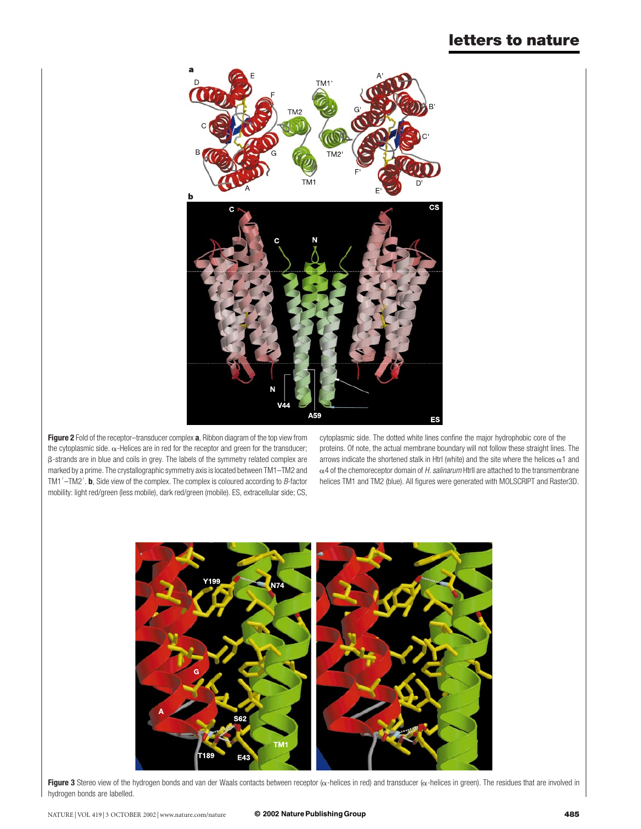

Figure 2 Fold of the receptor-transducer complex a, Ribbon diagram of the top view from the cytoplasmic side.  $\alpha$ -Helices are in red for the receptor and green for the transducer; b-strands are in blue and coils in grey. The labels of the symmetry related complex are marked by a prime. The crystallographic symmetry axis is located between TM1–TM2 and TM1 $'$ -TM2'. **b**, Side view of the complex. The complex is coloured according to B-factor mobility: light red/green (less mobile), dark red/green (mobile). ES, extracellular side; CS,

cytoplasmic side. The dotted white lines confine the major hydrophobic core of the proteins. Of note, the actual membrane boundary will not follow these straight lines. The arrows indicate the shortened stalk in Htrl (white) and the site where the helices  $\alpha$ 1 and  $\alpha$ 4 of the chemoreceptor domain of H. salinarum Htrll are attached to the transmembrane helices TM1 and TM2 (blue). All figures were generated with MOLSCRIPT and Raster3D.



Figure 3 Stereo view of the hydrogen bonds and van der Waals contacts between receptor  $(\alpha$ -helices in red) and transducer  $(\alpha$ -helices in green). The residues that are involved in hydrogen bonds are labelled.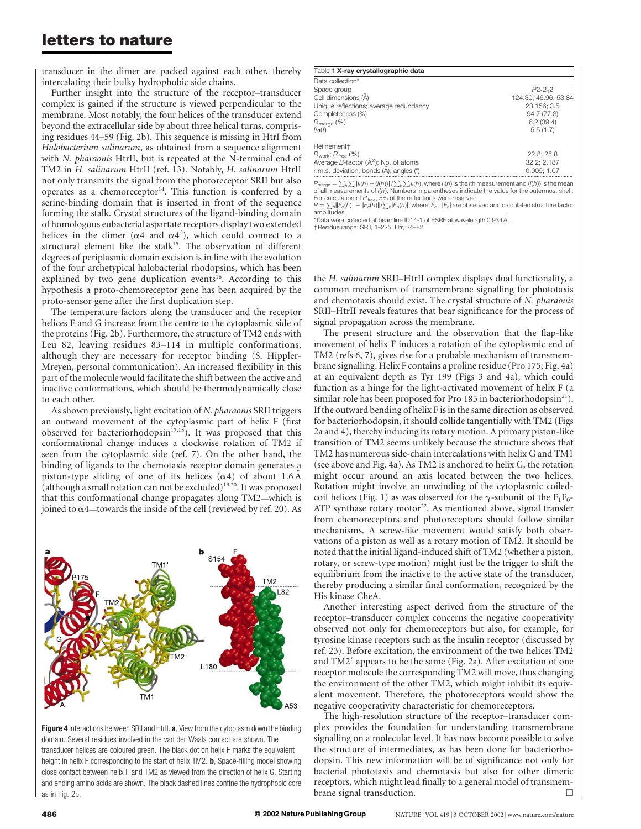transducer in the dimer are packed against each other, thereby intercalating their bulky hydrophobic side chains.

Further insight into the structure of the receptor–transducer complex is gained if the structure is viewed perpendicular to the membrane. Most notably, the four helices of the transducer extend beyond the extracellular side by about three helical turns, comprising residues 44–59 (Fig. 2b). This sequence is missing in HtrI from Halobacterium salinarum, as obtained from a sequence alignment with N. pharaonis HtrII, but is repeated at the N-terminal end of TM2 in H. salinarum HtrII (ref. 13). Notably, H. salinarum HtrII not only transmits the signal from the photoreceptor SRII but also operates as a chemoreceptor $14$ . This function is conferred by a serine-binding domain that is inserted in front of the sequence forming the stalk. Crystal structures of the ligand-binding domain of homologous eubacterial aspartate receptors display two extended helices in the dimer ( $\alpha$ 4 and  $\alpha$ 4'), which could connect to a structural element like the stalk<sup>15</sup>. The observation of different degrees of periplasmic domain excision is in line with the evolution of the four archetypical halobacterial rhodopsins, which has been explained by two gene duplication events<sup>16</sup>. According to this hypothesis a proto-chemoreceptor gene has been acquired by the proto-sensor gene after the first duplication step.

The temperature factors along the transducer and the receptor helices F and G increase from the centre to the cytoplasmic side of the proteins (Fig. 2b). Furthermore, the structure of TM2 ends with Leu 82, leaving residues 83–114 in multiple conformations, although they are necessary for receptor binding (S. Hippler-Mreyen, personal communication). An increased flexibility in this part of the molecule would facilitate the shift between the active and inactive conformations, which should be thermodynamically close to each other.

As shown previously, light excitation of N. pharaonis SRII triggers an outward movement of the cytoplasmic part of helix F (first observed for bacteriorhodopsin<sup>17,18</sup>). It was proposed that this conformational change induces a clockwise rotation of TM2 if seen from the cytoplasmic side (ref. 7). On the other hand, the binding of ligands to the chemotaxis receptor domain generates a piston-type sliding of one of its helices  $(\alpha 4)$  of about 1.6 Å (although a small rotation can not be excluded) $19,20$ . It was proposed that this conformational change propagates along TM2—which is joined to  $\alpha$ 4—towards the inside of the cell (reviewed by ref. 20). As



Figure 4 Interactions between SRII and HtrlI. a, View from the cytoplasm down the binding domain. Several residues involved in the van der Waals contact are shown. The transducer helices are coloured green. The black dot on helix F marks the equivalent height in helix F corresponding to the start of helix TM2. **b**, Space-filling model showing close contact between helix F and TM2 as viewed from the direction of helix G. Starting and ending amino acids are shown. The black dashed lines confine the hydrophobic core as in Fig. 2b.

| Table 1 X-ray crystallographic data       |                      |
|-------------------------------------------|----------------------|
| Data collection*                          |                      |
| Space group                               | P2,2,2               |
| Cell dimensions (A)                       | 124.30, 46.96, 53.84 |
| Unique reflections; average redundancy    | 23,156; 3.5          |
| Completeness (%)                          | 94.7 (77.3)          |
| $R_{\text{merge}}$ (%)                    | 6.2(39.4)            |
| $1/\sigma(1)$                             | 5.5(1.7)             |
| Refinement†                               |                      |
| $R_{work}$ ; $R_{free}$ (%)               | 22.8; 25.8           |
| Average B-factor $(\AA^2)$ ; No. of atoms | 32.2; 2,187          |
| r.m.s. deviation: bonds (A); angles (°)   | 0.009:1.07           |

 $R_{\text{merge}} = \sum_h \sum_l |l_l(h) - \langle l(h) \rangle| / \sum_h \sum_l l_l(h)$ , where  $l_l(h)$  is the *i*th measurement and  $\langle l(h) \rangle$  is the mean of all measurements of  $l(h)$ . Numbers in parentheses indicate the value for the outermost shell. For calculation of R<sub>free</sub>, 5% of the reflections were reserved.<br>R =  $\sum_{h}$ ||F<sub>o</sub>(h)| – |F<sub>c</sub>(h)||/ $\sum_{h}$ |F<sub>o</sub>(h)|; where |F<sub>o</sub>|, |F<sub>c</sub>| are observed and calculated structure factor

amplitudes. \*Data were collected at beamline ID14-1 of ESRF at wavelength 0.934 Å

†Residue range: SRII, 1–225; Htr, 24–82.

the H. salinarum SRII–HtrII complex displays dual functionality, a common mechanism of transmembrane signalling for phototaxis and chemotaxis should exist. The crystal structure of N. pharaonis SRII–HtrII reveals features that bear significance for the process of signal propagation across the membrane.

The present structure and the observation that the flap-like movement of helix F induces a rotation of the cytoplasmic end of TM2 (refs 6, 7), gives rise for a probable mechanism of transmembrane signalling. Helix F contains a proline residue (Pro 175; Fig. 4a) at an equivalent depth as Tyr 199 (Figs 3 and 4a), which could function as a hinge for the light-activated movement of helix F (a similar role has been proposed for Pro 185 in bacteriorhodopsin $^{21}$ ). If the outward bending of helix F is in the same direction as observed for bacteriorhodopsin, it should collide tangentially with TM2 (Figs 2a and 4), thereby inducing its rotary motion. A primary piston-like transition of TM2 seems unlikely because the structure shows that TM2 has numerous side-chain intercalations with helix G and TM1 (see above and Fig. 4a). As TM2 is anchored to helix G, the rotation might occur around an axis located between the two helices. Rotation might involve an unwinding of the cytoplasmic coiledcoil helices (Fig. 1) as was observed for the  $\gamma$ -subunit of the F<sub>1</sub>F<sub>0</sub>-ATP synthase rotary motor<sup>22</sup>. As mentioned above, signal transfer from chemoreceptors and photoreceptors should follow similar mechanisms. A screw-like movement would satisfy both observations of a piston as well as a rotary motion of TM2. It should be noted that the initial ligand-induced shift of TM2 (whether a piston, rotary, or screw-type motion) might just be the trigger to shift the equilibrium from the inactive to the active state of the transducer, thereby producing a similar final conformation, recognized by the His kinase CheA.

Another interesting aspect derived from the structure of the receptor–transducer complex concerns the negative cooperativity observed not only for chemoreceptors but also, for example, for tyrosine kinase receptors such as the insulin receptor (discussed by ref. 23). Before excitation, the environment of the two helices TM2 and TM2<sup>'</sup> appears to be the same (Fig. 2a). After excitation of one receptor molecule the corresponding TM2 will move, thus changing the environment of the other TM2, which might inhibit its equivalent movement. Therefore, the photoreceptors would show the negative cooperativity characteristic for chemoreceptors.

The high-resolution structure of the receptor–transducer complex provides the foundation for understanding transmembrane signalling on a molecular level. It has now become possible to solve the structure of intermediates, as has been done for bacteriorhodopsin. This new information will be of significance not only for bacterial phototaxis and chemotaxis but also for other dimeric receptors, which might lead finally to a general model of transmem- $\Box$  brane signal transduction.